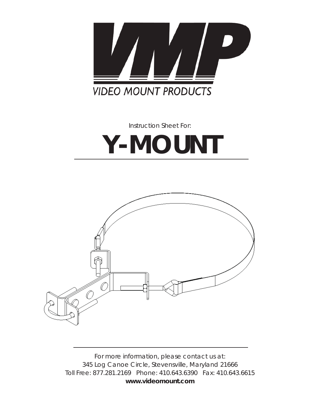

*Instruction Sheet For:*

# **Y-MOUNT**



*For more information, please contact us at: 345 Log Canoe Circle, Stevensville, Maryland 21666 Toll Free: 877.281.2169 Phone: 410.643.6390 Fax: 410.643.6615* **www.videomount.com**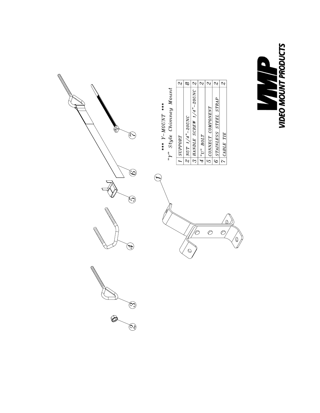

|                                                |         | ∝                    |                                |             |                   |                       |           |
|------------------------------------------------|---------|----------------------|--------------------------------|-------------|-------------------|-----------------------|-----------|
| Style Chimney Mount<br>**** $Y-MOUN^*$<br>يدكم | SUPPORT | $ NUT$ $1/4"$ -20UNC | $3$ HANDLE SCREW $1/4$ "-20UNC | $ "U"$ BOLT | CONNECT COMPONENT | STAINLESS STEEL STRAP | CABLE TIE |
|                                                |         |                      |                                |             | $\overline{6}$    | Ċ                     |           |